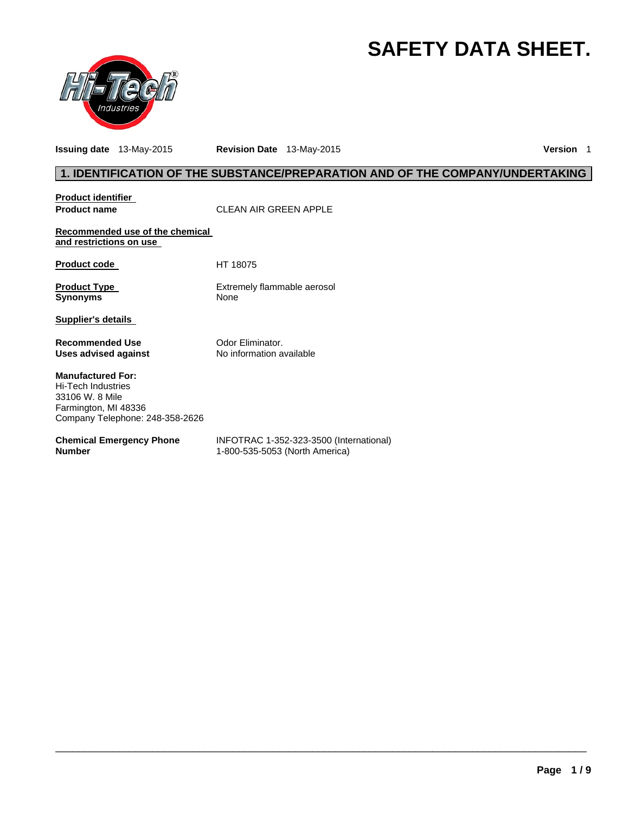# **SAFETY DATA SHEET.**



**Issuing date** 13-May-2015 **Revision Date** 13-May-2015 **Version** 1

# **1. IDENTIFICATION OF THE SUBSTANCE/PREPARATION AND OF THE COMPANY/UNDERTAKING**

| <b>Product identifier</b><br><b>Product name</b>                                                                             | CLEAN AIR GREEN APPLE                                                     |
|------------------------------------------------------------------------------------------------------------------------------|---------------------------------------------------------------------------|
| Recommended use of the chemical<br>and restrictions on use                                                                   |                                                                           |
| <b>Product code</b>                                                                                                          | HT 18075                                                                  |
| <b>Product Type</b><br><b>Synonyms</b>                                                                                       | Extremely flammable aerosol<br><b>None</b>                                |
| Supplier's details                                                                                                           |                                                                           |
| <b>Recommended Use</b><br>Uses advised against                                                                               | Odor Eliminator.<br>No information available                              |
| <b>Manufactured For:</b><br>Hi-Tech Industries<br>33106 W. 8 Mile<br>Farmington, MI 48336<br>Company Telephone: 248-358-2626 |                                                                           |
| <b>Chemical Emergency Phone</b><br><b>Number</b>                                                                             | INFOTRAC 1-352-323-3500 (International)<br>1-800-535-5053 (North America) |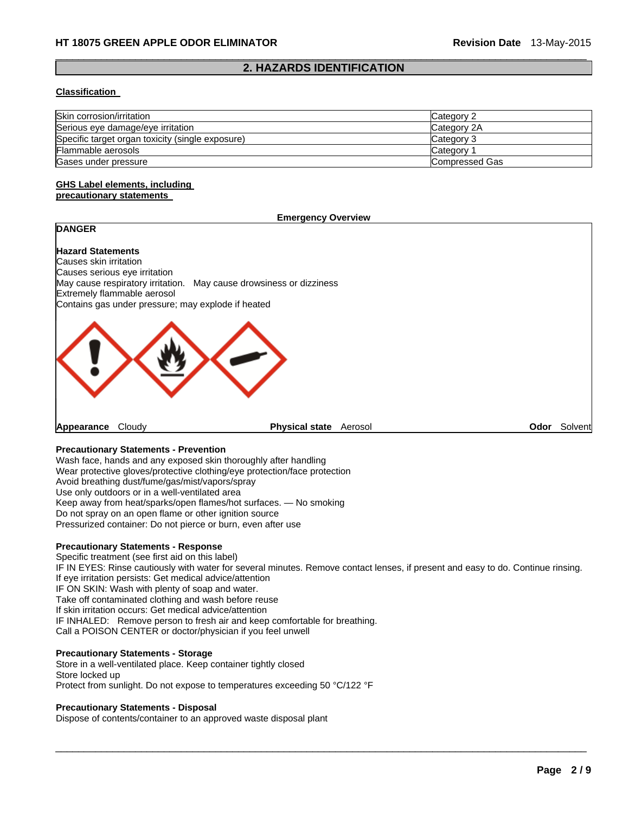### $\Box$ **2. HAZARDS IDENTIFICATION**

#### **Classification**

| Skin corrosion/irritation                        | Category 2     |
|--------------------------------------------------|----------------|
| Serious eye damage/eye irritation                | Category 2A    |
| Specific target organ toxicity (single exposure) | Category 3     |
| Flammable aerosols                               | Category       |
| Gases under pressure                             | Compressed Gas |

#### **GHS Label elements, including precautionary statements**

#### **Emergency Overview**

# **DANGER**

**Hazard Statements**  Causes skin irritation Causes serious eye irritation May cause respiratory irritation. May cause drowsiness or dizziness Extremely flammable aerosol Contains gas under pressure; may explode if heated



**Appearance** Cloudy **Physical state** Aerosol **Odor** Solvent

# **Precautionary Statements - Prevention**

Wash face, hands and any exposed skin thoroughly after handling Wear protective gloves/protective clothing/eye protection/face protection Avoid breathing dust/fume/gas/mist/vapors/spray Use only outdoors or in a well-ventilated area Keep away from heat/sparks/open flames/hot surfaces. — No smoking Do not spray on an open flame or other ignition source Pressurized container: Do not pierce or burn, even after use

#### **Precautionary Statements - Response**

Specific treatment (see first aid on this label) IF IN EYES: Rinse cautiously with water for several minutes. Remove contact lenses, if present and easy to do. Continue rinsing. If eye irritation persists: Get medical advice/attention IF ON SKIN: Wash with plenty of soap and water. Take off contaminated clothing and wash before reuse If skin irritation occurs: Get medical advice/attention IF INHALED: Remove person to fresh air and keep comfortable for breathing. Call a POISON CENTER or doctor/physician if you feel unwell

 $\Box$ 

# **Precautionary Statements - Storage**

Store in a well-ventilated place. Keep container tightly closed Store locked up Protect from sunlight. Do not expose to temperatures exceeding 50 °C/122 °F

#### **Precautionary Statements - Disposal**

Dispose of contents/container to an approved waste disposal plant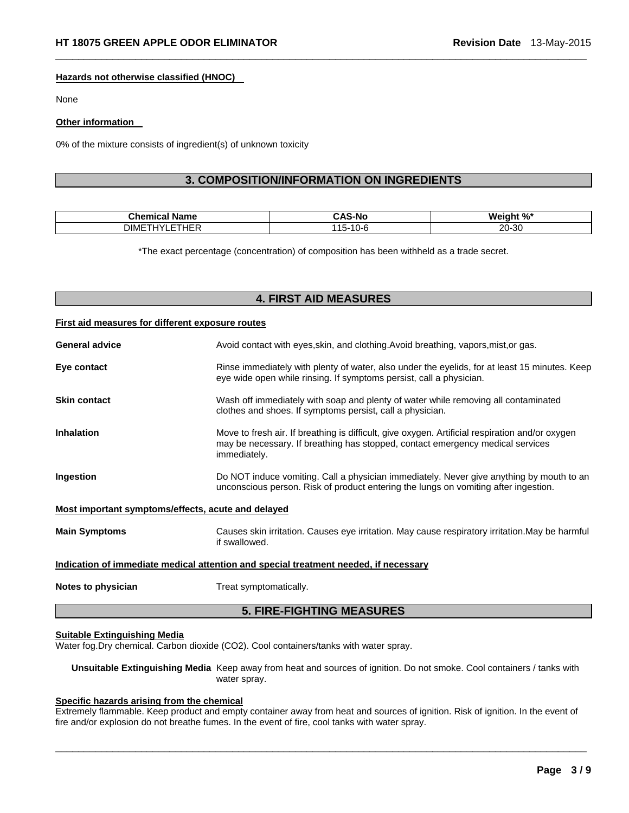#### **Hazards not otherwise classified (HNOC)**

None

#### **Other information**

0% of the mixture consists of ingredient(s) of unknown toxicity

# **3. COMPOSITION/INFORMATION ON INGREDIENTS**

 $\Box$ 

| $\sim$ $\sim$ $\sim$<br>-ne | -N.<br>______                    | w                                  |
|-----------------------------|----------------------------------|------------------------------------|
| $\cdot$ $ -$<br>ገIMF        | $\sim$ $\sim$<br>.<br>. .<br>. . | $\Omega$<br>20.<br>ט-י<br>ZU.<br>. |

\*The exact percentage (concentration) of composition has been withheld as a trade secret.

# **4. FIRST AID MEASURES**

#### **First aid measures for different exposure routes**

| <b>5. FIRE-FIGHTING MEASURES</b>                                                     |                                                                                                                                                                                                   |  |
|--------------------------------------------------------------------------------------|---------------------------------------------------------------------------------------------------------------------------------------------------------------------------------------------------|--|
| Notes to physician                                                                   | Treat symptomatically.                                                                                                                                                                            |  |
| Indication of immediate medical attention and special treatment needed, if necessary |                                                                                                                                                                                                   |  |
| <b>Main Symptoms</b>                                                                 | Causes skin irritation. Causes eye irritation. May cause respiratory irritation. May be harmful<br>if swallowed.                                                                                  |  |
| Most important symptoms/effects, acute and delayed                                   |                                                                                                                                                                                                   |  |
| Ingestion                                                                            | Do NOT induce vomiting. Call a physician immediately. Never give anything by mouth to an<br>unconscious person. Risk of product entering the lungs on vomiting after ingestion.                   |  |
| <b>Inhalation</b>                                                                    | Move to fresh air. If breathing is difficult, give oxygen. Artificial respiration and/or oxygen<br>may be necessary. If breathing has stopped, contact emergency medical services<br>immediately. |  |
| <b>Skin contact</b>                                                                  | Wash off immediately with soap and plenty of water while removing all contaminated<br>clothes and shoes. If symptoms persist, call a physician.                                                   |  |
| Eye contact                                                                          | Rinse immediately with plenty of water, also under the eyelids, for at least 15 minutes. Keep<br>eye wide open while rinsing. If symptoms persist, call a physician.                              |  |
| <b>General advice</b>                                                                | Avoid contact with eyes, skin, and clothing. Avoid breathing, vapors, mist, or gas.                                                                                                               |  |

# **Suitable Extinguishing Media**

Water fog.Dry chemical. Carbon dioxide (CO2). Cool containers/tanks with water spray.

**Unsuitable Extinguishing Media** Keep away from heat and sources of ignition. Do not smoke. Cool containers / tanks with water spray.

# **Specific hazards arising from the chemical**

Extremely flammable. Keep product and empty container away from heat and sources of ignition. Risk of ignition. In the event of fire and/or explosion do not breathe fumes. In the event of fire, cool tanks with water spray.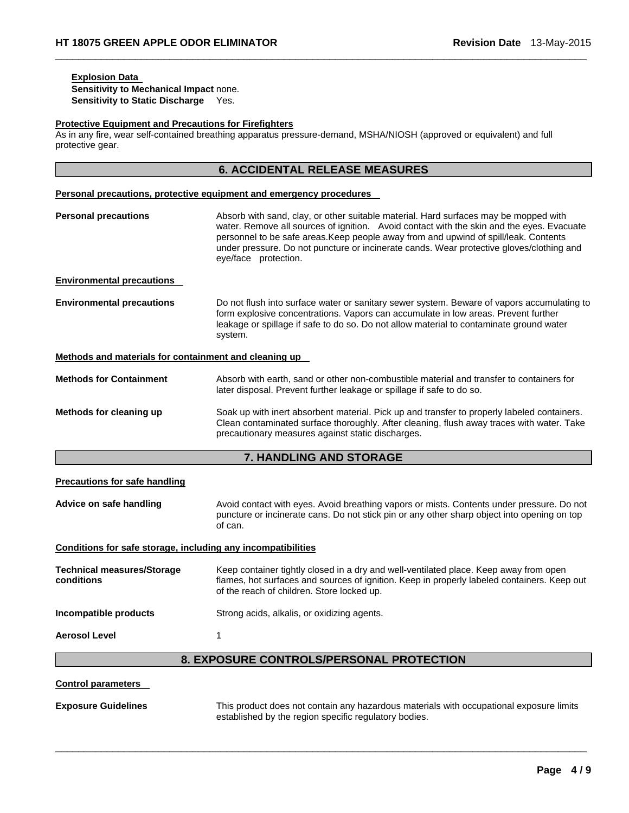# **Explosion Data**

**Sensitivity to Mechanical Impact** none. **Sensitivity to Static Discharge** Yes.

#### **Protective Equipment and Precautions for Firefighters**

As in any fire, wear self-contained breathing apparatus pressure-demand, MSHA/NIOSH (approved or equivalent) and full protective gear.

 $\Box$ 

|                                                                     | <b>6. ACCIDENTAL RELEASE MEASURES</b>                                                                                                                                                                                                                                                                                                                                                         |  |
|---------------------------------------------------------------------|-----------------------------------------------------------------------------------------------------------------------------------------------------------------------------------------------------------------------------------------------------------------------------------------------------------------------------------------------------------------------------------------------|--|
| Personal precautions, protective equipment and emergency procedures |                                                                                                                                                                                                                                                                                                                                                                                               |  |
| <b>Personal precautions</b>                                         | Absorb with sand, clay, or other suitable material. Hard surfaces may be mopped with<br>water. Remove all sources of ignition. Avoid contact with the skin and the eyes. Evacuate<br>personnel to be safe areas. Keep people away from and upwind of spill/leak. Contents<br>under pressure. Do not puncture or incinerate cands. Wear protective gloves/clothing and<br>eye/face protection. |  |
| <b>Environmental precautions</b>                                    |                                                                                                                                                                                                                                                                                                                                                                                               |  |
| <b>Environmental precautions</b>                                    | Do not flush into surface water or sanitary sewer system. Beware of vapors accumulating to<br>form explosive concentrations. Vapors can accumulate in low areas. Prevent further<br>leakage or spillage if safe to do so. Do not allow material to contaminate ground water<br>system.                                                                                                        |  |
| Methods and materials for containment and cleaning up               |                                                                                                                                                                                                                                                                                                                                                                                               |  |
| <b>Methods for Containment</b>                                      | Absorb with earth, sand or other non-combustible material and transfer to containers for<br>later disposal. Prevent further leakage or spillage if safe to do so.                                                                                                                                                                                                                             |  |
| Methods for cleaning up                                             | Soak up with inert absorbent material. Pick up and transfer to properly labeled containers.<br>Clean contaminated surface thoroughly. After cleaning, flush away traces with water. Take<br>precautionary measures against static discharges.                                                                                                                                                 |  |
|                                                                     | 7. HANDLING AND STORAGE                                                                                                                                                                                                                                                                                                                                                                       |  |
| <b>Precautions for safe handling</b>                                |                                                                                                                                                                                                                                                                                                                                                                                               |  |
| Advice on safe handling                                             | Avoid contact with eyes. Avoid breathing vapors or mists. Contents under pressure. Do not<br>puncture or incinerate cans. Do not stick pin or any other sharp object into opening on top<br>of can.                                                                                                                                                                                           |  |
| Conditions for safe storage, including any incompatibilities        |                                                                                                                                                                                                                                                                                                                                                                                               |  |
| <b>Technical measures/Storage</b><br>conditions                     | Keep container tightly closed in a dry and well-ventilated place. Keep away from open<br>flames, hot surfaces and sources of ignition. Keep in properly labeled containers. Keep out<br>of the reach of children. Store locked up.                                                                                                                                                            |  |
| Incompatible products                                               | Strong acids, alkalis, or oxidizing agents.                                                                                                                                                                                                                                                                                                                                                   |  |
| <b>Aerosol Level</b>                                                | 1                                                                                                                                                                                                                                                                                                                                                                                             |  |
|                                                                     | 8. EXPOSURE CONTROLS/PERSONAL PROTECTION                                                                                                                                                                                                                                                                                                                                                      |  |
| <b>Control parameters</b>                                           |                                                                                                                                                                                                                                                                                                                                                                                               |  |

 $\Box$ 

**Exposure Guidelines** This product does not contain any hazardous materials with occupational exposure limits established by the region specific regulatory bodies.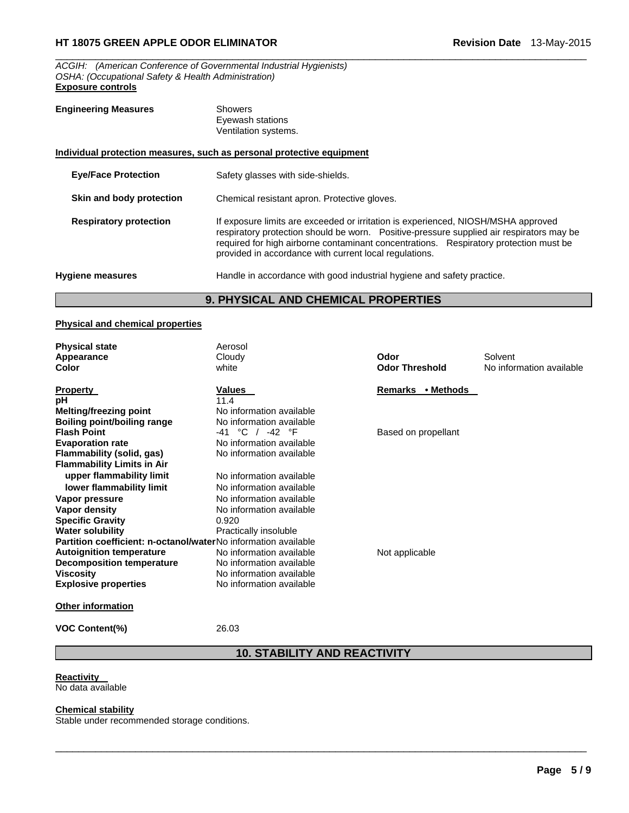*ACGIH: (American Conference of Governmental Industrial Hygienists) OSHA: (Occupational Safety & Health Administration)*  **Exposure controls** 

| <b>Engineering Measures</b>   | <b>Showers</b><br>Eyewash stations<br>Ventilation systems.                                                                                                                                                                                                                                                                        |
|-------------------------------|-----------------------------------------------------------------------------------------------------------------------------------------------------------------------------------------------------------------------------------------------------------------------------------------------------------------------------------|
|                               | Individual protection measures, such as personal protective equipment                                                                                                                                                                                                                                                             |
| <b>Eye/Face Protection</b>    | Safety glasses with side-shields.                                                                                                                                                                                                                                                                                                 |
| Skin and body protection      | Chemical resistant apron. Protective gloves.                                                                                                                                                                                                                                                                                      |
| <b>Respiratory protection</b> | If exposure limits are exceeded or irritation is experienced, NIOSH/MSHA approved<br>respiratory protection should be worn.  Positive-pressure supplied air respirators may be<br>required for high airborne contaminant concentrations. Respiratory protection must be<br>provided in accordance with current local regulations. |
| <b>Hygiene measures</b>       | Handle in accordance with good industrial hygiene and safety practice.                                                                                                                                                                                                                                                            |

 $\Box$ 

# **9. PHYSICAL AND CHEMICAL PROPERTIES**

#### **Physical and chemical properties**

| <b>Physical state</b><br>Appearance                            | Aerosol<br>Cloudy        | Odor                  | Solvent                  |
|----------------------------------------------------------------|--------------------------|-----------------------|--------------------------|
| Color                                                          | white                    | <b>Odor Threshold</b> | No information available |
|                                                                |                          |                       |                          |
| Property                                                       | Values                   | Remarks • Methods     |                          |
| pН                                                             | 11.4                     |                       |                          |
| <b>Melting/freezing point</b>                                  | No information available |                       |                          |
| Boiling point/boiling range                                    | No information available |                       |                          |
| <b>Flash Point</b>                                             | -41 °C / -42 °F          | Based on propellant   |                          |
| <b>Evaporation rate</b>                                        | No information available |                       |                          |
| Flammability (solid, gas)                                      | No information available |                       |                          |
| <b>Flammability Limits in Air</b>                              |                          |                       |                          |
| upper flammability limit                                       | No information available |                       |                          |
| lower flammability limit                                       | No information available |                       |                          |
| Vapor pressure                                                 | No information available |                       |                          |
| Vapor density                                                  | No information available |                       |                          |
| <b>Specific Gravity</b>                                        | 0.920                    |                       |                          |
| Water solubility                                               | Practically insoluble    |                       |                          |
| Partition coefficient: n-octanol/waterNo information available |                          |                       |                          |
| <b>Autoignition temperature</b>                                | No information available | Not applicable        |                          |
| <b>Decomposition temperature</b>                               | No information available |                       |                          |
| Viscosity                                                      | No information available |                       |                          |
| <b>Explosive properties</b>                                    | No information available |                       |                          |
| Other information                                              |                          |                       |                          |

**VOC Content(%)** 26.03

# **10. STABILITY AND REACTIVITY**

 $\Box$ 

**Reactivity**  No data available

#### **Chemical stability**

Stable under recommended storage conditions.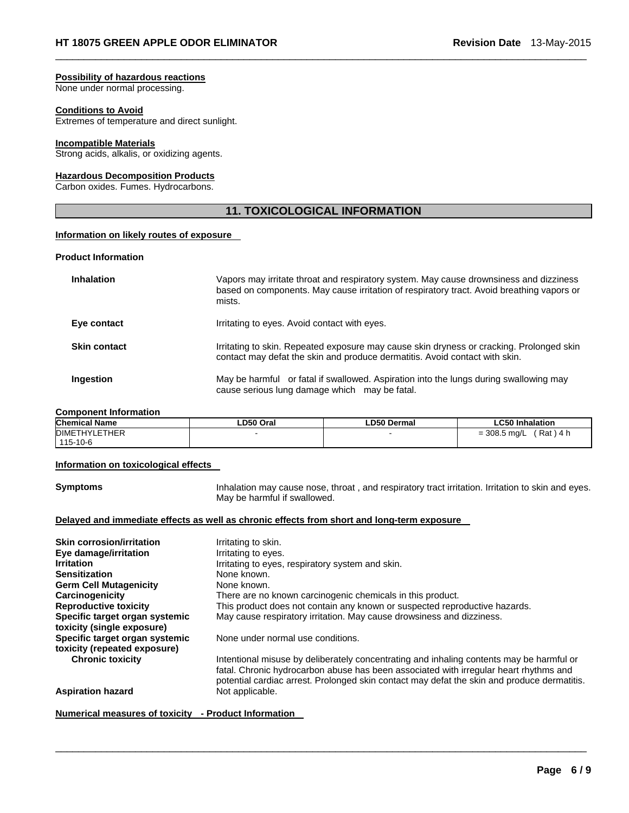#### **Possibility of hazardous reactions**

None under normal processing.

### **Conditions to Avoid**

Extremes of temperature and direct sunlight.

#### **Incompatible Materials**

Strong acids, alkalis, or oxidizing agents.

#### **Hazardous Decomposition Products**

Carbon oxides. Fumes. Hydrocarbons.

# **11. TOXICOLOGICAL INFORMATION**

 $\Box$ 

#### **Information on likely routes of exposure**

#### **Product Information**

| Inhalation   | Vapors may irritate throat and respiratory system. May cause drownsiness and dizziness<br>based on components. May cause irritation of respiratory tract. Avoid breathing vapors or<br>mists. |
|--------------|-----------------------------------------------------------------------------------------------------------------------------------------------------------------------------------------------|
| Eye contact  | Irritating to eyes. Avoid contact with eyes.                                                                                                                                                  |
| Skin contact | Irritating to skin. Repeated exposure may cause skin dryness or cracking. Prolonged skin<br>contact may defat the skin and produce dermatitis. Avoid contact with skin.                       |
| Ingestion    | May be harmful or fatal if swallowed. Aspiration into the lungs during swallowing may<br>cause serious lung damage which may be fatal.                                                        |

#### **Component Information**

| <b>Chemical Name</b> | ∟D50 Oral | ∟D50 Dermal | ∟C50 Inhalation              |
|----------------------|-----------|-------------|------------------------------|
| <b>DIMETHYLETHER</b> |           |             | ´Rat ) 4 h<br>$= 308.5$ mg/L |
| 115-10-6             |           |             |                              |

#### **Information on toxicological effects**

**Symptoms Inhalation may cause nose, throat , and respiratory tract irritation. Irritation to skin and eyes.** May be harmful if swallowed.

#### **Delayed and immediate effects as well as chronic effects from short and long-term exposure**

| <b>Skin corrosion/irritation</b> | Irritating to skin.                                                                         |
|----------------------------------|---------------------------------------------------------------------------------------------|
| Eye damage/irritation            | Irritating to eyes.                                                                         |
| <b>Irritation</b>                | Irritating to eyes, respiratory system and skin.                                            |
| <b>Sensitization</b>             | None known.                                                                                 |
| <b>Germ Cell Mutagenicity</b>    | None known.                                                                                 |
| Carcinogenicity                  | There are no known carcinogenic chemicals in this product.                                  |
| <b>Reproductive toxicity</b>     | This product does not contain any known or suspected reproductive hazards.                  |
| Specific target organ systemic   | May cause respiratory irritation. May cause drowsiness and dizziness.                       |
| toxicity (single exposure)       |                                                                                             |
| Specific target organ systemic   | None under normal use conditions.                                                           |
| toxicity (repeated exposure)     |                                                                                             |
| <b>Chronic toxicity</b>          | Intentional misuse by deliberately concentrating and inhaling contents may be harmful or    |
|                                  | fatal. Chronic hydrocarbon abuse has been associated with irregular heart rhythms and       |
|                                  | potential cardiac arrest. Prolonged skin contact may defat the skin and produce dermatitis. |
| <b>Aspiration hazard</b>         | Not applicable.                                                                             |
|                                  |                                                                                             |

 $\Box$ 

# **Numerical measures of toxicity - Product Information**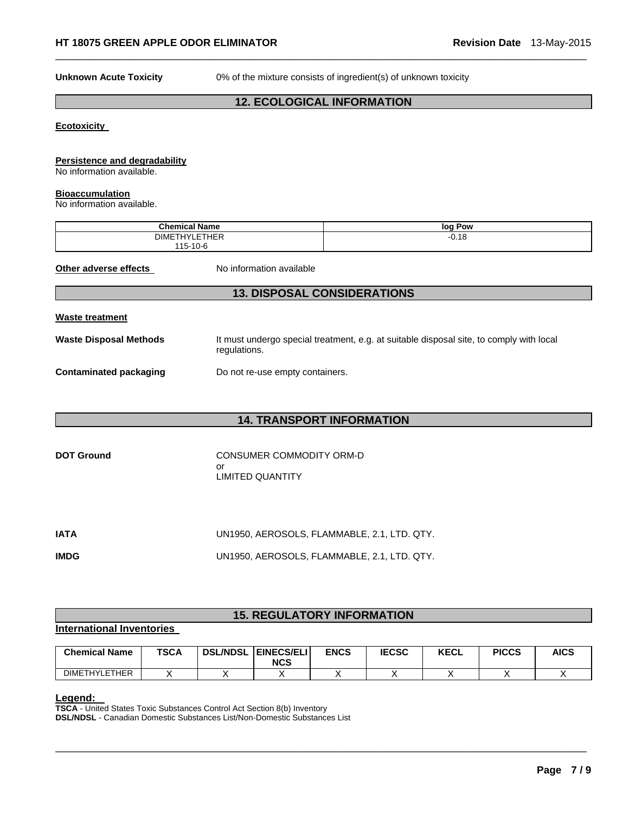**Unknown Acute Toxicity** 0% of the mixture consists of ingredient(s) of unknown toxicity

# **12. ECOLOGICAL INFORMATION**

 $\Box$ 

#### **Ecotoxicity**

### **Persistence and degradability**

No information available.

#### **Bioaccumulation**

No information available.

| .<br>Chemical.<br>Name                | loq<br>∣ Pow |
|---------------------------------------|--------------|
| <b>HYLETHER</b><br>DIME<br>. <b>.</b> | $-0.18$      |
| 15-10-6                               |              |

**Other adverse effects** No information available

# **13. DISPOSAL CONSIDERATIONS**

#### **Waste treatment**

Waste Disposal Methods **It must undergo special treatment, e.g. at suitable disposal site, to comply with local** regulations.

# **Contaminated packaging <br>Do not re-use empty containers.**

# **14. TRANSPORT INFORMATION**

| <b>DOT Ground</b> | CONSUMER COMMODITY ORM-D |
|-------------------|--------------------------|
|                   | nr                       |
|                   | LIMITED QUANTITY         |

| IATA        | UN1950, AEROSOLS, FLAMMABLE, 2.1, LTD. QTY. |
|-------------|---------------------------------------------|
| <b>IMDG</b> | UN1950, AEROSOLS, FLAMMABLE, 2.1, LTD. QTY. |

# **15. REGULATORY INFORMATION**

#### **International Inventories**

| <b>Chemical Name</b> | <b>TSCA</b> | <b>DSL/NDSL</b> | <b>EINECS/ELI</b><br><b>NCS</b> | <b>ENCS</b> | <b>IECSC</b> | <b>KECL</b> | <b>PICCS</b> | <b>AICS</b> |
|----------------------|-------------|-----------------|---------------------------------|-------------|--------------|-------------|--------------|-------------|
| <b>DIMETHYLETHER</b> |             |                 |                                 |             |              |             |              |             |

 $\Box$ 

**Legend: TSCA** - United States Toxic Substances Control Act Section 8(b) Inventory **DSL/NDSL** - Canadian Domestic Substances List/Non-Domestic Substances List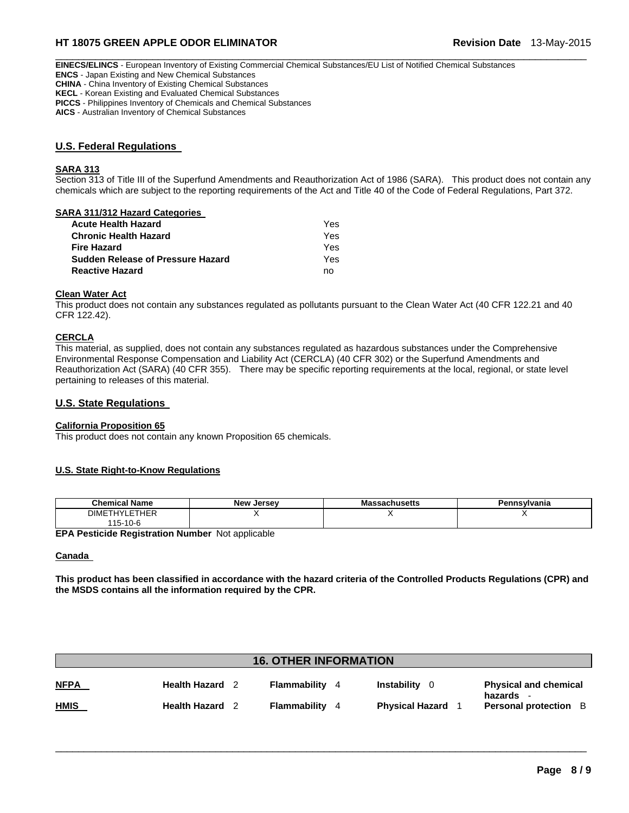# **HT 18075 GREEN APPLE ODOR ELIMINATOR Revision Date** 13-May-2015

 $\Box$ **EINECS/ELINCS** - European Inventory of Existing Commercial Chemical Substances/EU List of Notified Chemical Substances **ENCS** - Japan Existing and New Chemical Substances **CHINA** - China Inventory of Existing Chemical Substances **KECL** - Korean Existing and Evaluated Chemical Substances **PICCS** - Philippines Inventory of Chemicals and Chemical Substances

**AICS** - Australian Inventory of Chemical Substances

# **U.S. Federal Regulations**

#### **SARA 313**

Section 313 of Title III of the Superfund Amendments and Reauthorization Act of 1986 (SARA). This product does not contain any chemicals which are subject to the reporting requirements of the Act and Title 40 of the Code of Federal Regulations, Part 372.

#### **SARA 311/312 Hazard Categories**

| Acute Health Hazard               | Yes |
|-----------------------------------|-----|
| Chronic Health Hazard             | Yes |
| Fire Hazard                       | Yes |
| Sudden Release of Pressure Hazard | Yes |
| Reactive Hazard                   | no  |

#### **Clean Water Act**

This product does not contain any substances regulated as pollutants pursuant to the Clean Water Act (40 CFR 122.21 and 40 CFR 122.42).

#### **CERCLA**

This material, as supplied, does not contain any substances regulated as hazardous substances under the Comprehensive Environmental Response Compensation and Liability Act (CERCLA) (40 CFR 302) or the Superfund Amendments and Reauthorization Act (SARA) (40 CFR 355). There may be specific reporting requirements at the local, regional, or state level pertaining to releases of this material.

### **U.S. State Regulations**

#### **California Proposition 65**

This product does not contain any known Proposition 65 chemicals.

#### **U.S. State Right-to-Know Regulations**

| <b>Chemical Name</b> | <b>New</b><br>Jersev | ssachusetts<br>massa | Pennsvlvania |
|----------------------|----------------------|----------------------|--------------|
| <b>DIMETHYLETHER</b> |                      |                      |              |
| 115-10-6             |                      |                      |              |

**EPA Pesticide Registration Number** Not applicable

#### **Canada**

**This product has been classified in accordance with the hazard criteria of the Controlled Products Regulations (CPR) and the MSDS contains all the information required by the CPR.** 

| <b>16. OTHER INFORMATION</b> |                      |  |              |   |                        |                                         |
|------------------------------|----------------------|--|--------------|---|------------------------|-----------------------------------------|
| <b>NFPA</b>                  | Health Hazard        |  | Flammability | 4 | Instability<br>- റ     | <b>Physical and chemical</b>            |
| <u>HMIS</u>                  | <b>Health Hazard</b> |  | Flammability | 4 | <b>Physical Hazard</b> | hazards<br><b>Personal protection</b> B |